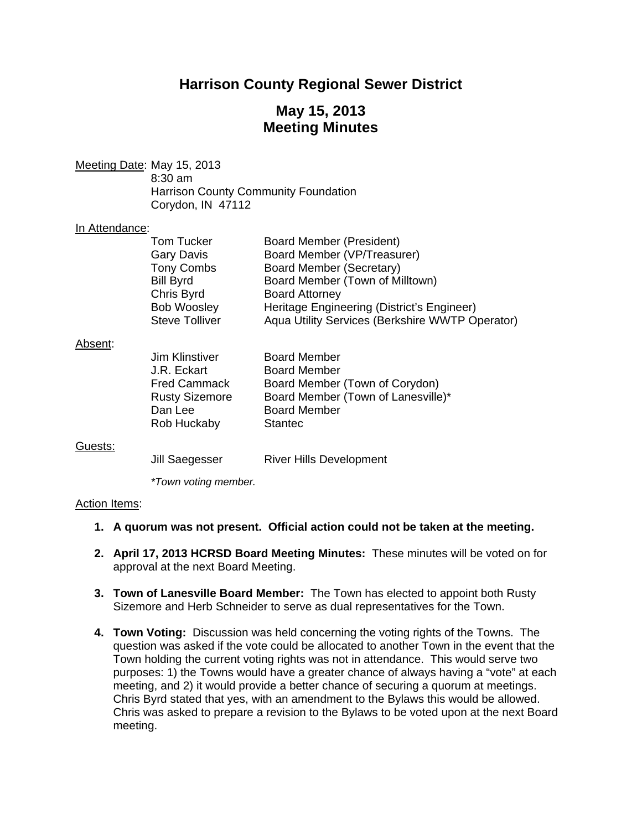# **Harrison County Regional Sewer District**

# **May 15, 2013 Meeting Minutes**

Meeting Date: May 15, 2013 8:30 am Harrison County Community Foundation Corydon, IN 47112

#### In Attendance:

| Tom Tucker            | <b>Board Member (President)</b>                 |
|-----------------------|-------------------------------------------------|
| <b>Gary Davis</b>     | Board Member (VP/Treasurer)                     |
| <b>Tony Combs</b>     | Board Member (Secretary)                        |
| <b>Bill Byrd</b>      | Board Member (Town of Milltown)                 |
| Chris Byrd            | <b>Board Attorney</b>                           |
| <b>Bob Woosley</b>    | Heritage Engineering (District's Engineer)      |
| <b>Steve Tolliver</b> | Aqua Utility Services (Berkshire WWTP Operator) |
|                       |                                                 |

#### Absent:

| <b>Jim Klinstiver</b> | <b>Board Member</b>                |
|-----------------------|------------------------------------|
| J.R. Eckart           | <b>Board Member</b>                |
| <b>Fred Cammack</b>   | Board Member (Town of Corydon)     |
| <b>Rusty Sizemore</b> | Board Member (Town of Lanesville)* |
| Dan Lee               | <b>Board Member</b>                |
| Rob Huckaby           | <b>Stantec</b>                     |
|                       |                                    |

#### Guests:

Jill Saegesser River Hills Development

 *\*Town voting member.* 

#### Action Items:

- **1. A quorum was not present. Official action could not be taken at the meeting.**
- **2. April 17, 2013 HCRSD Board Meeting Minutes:** These minutes will be voted on for approval at the next Board Meeting.
- **3. Town of Lanesville Board Member:** The Town has elected to appoint both Rusty Sizemore and Herb Schneider to serve as dual representatives for the Town.
- **4. Town Voting:** Discussion was held concerning the voting rights of the Towns. The question was asked if the vote could be allocated to another Town in the event that the Town holding the current voting rights was not in attendance. This would serve two purposes: 1) the Towns would have a greater chance of always having a "vote" at each meeting, and 2) it would provide a better chance of securing a quorum at meetings. Chris Byrd stated that yes, with an amendment to the Bylaws this would be allowed. Chris was asked to prepare a revision to the Bylaws to be voted upon at the next Board meeting.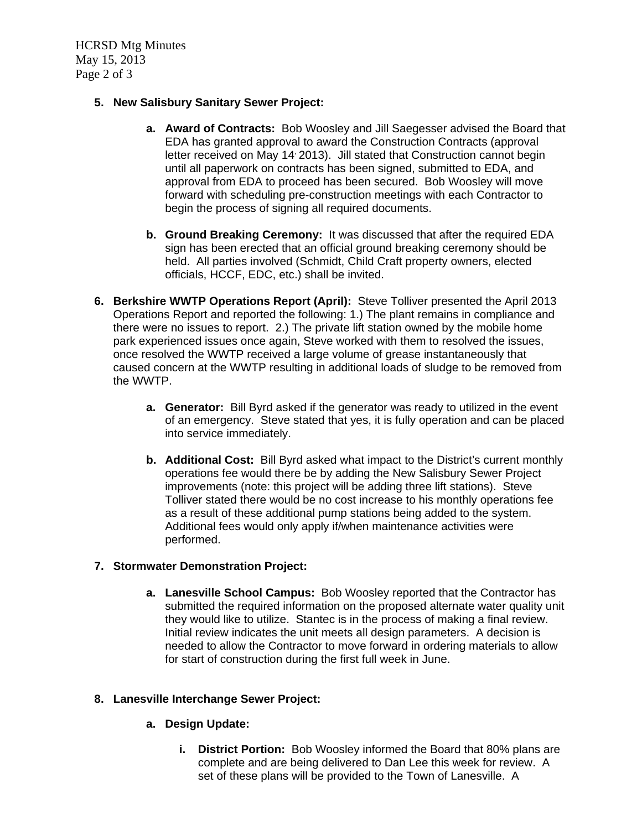HCRSD Mtg Minutes May 15, 2013 Page 2 of 3

## **5. New Salisbury Sanitary Sewer Project:**

- **a. Award of Contracts:** Bob Woosley and Jill Saegesser advised the Board that EDA has granted approval to award the Construction Contracts (approval letter received on May 14<sup>,</sup> 2013). Jill stated that Construction cannot begin until all paperwork on contracts has been signed, submitted to EDA, and approval from EDA to proceed has been secured. Bob Woosley will move forward with scheduling pre-construction meetings with each Contractor to begin the process of signing all required documents.
- **b. Ground Breaking Ceremony:** It was discussed that after the required EDA sign has been erected that an official ground breaking ceremony should be held. All parties involved (Schmidt, Child Craft property owners, elected officials, HCCF, EDC, etc.) shall be invited.
- **6. Berkshire WWTP Operations Report (April):** Steve Tolliver presented the April 2013 Operations Report and reported the following: 1.) The plant remains in compliance and there were no issues to report. 2.) The private lift station owned by the mobile home park experienced issues once again, Steve worked with them to resolved the issues, once resolved the WWTP received a large volume of grease instantaneously that caused concern at the WWTP resulting in additional loads of sludge to be removed from the WWTP.
	- **a. Generator:** Bill Byrd asked if the generator was ready to utilized in the event of an emergency. Steve stated that yes, it is fully operation and can be placed into service immediately.
	- **b. Additional Cost:** Bill Byrd asked what impact to the District's current monthly operations fee would there be by adding the New Salisbury Sewer Project improvements (note: this project will be adding three lift stations). Steve Tolliver stated there would be no cost increase to his monthly operations fee as a result of these additional pump stations being added to the system. Additional fees would only apply if/when maintenance activities were performed.

# **7. Stormwater Demonstration Project:**

**a. Lanesville School Campus:** Bob Woosley reported that the Contractor has submitted the required information on the proposed alternate water quality unit they would like to utilize. Stantec is in the process of making a final review. Initial review indicates the unit meets all design parameters. A decision is needed to allow the Contractor to move forward in ordering materials to allow for start of construction during the first full week in June.

### **8. Lanesville Interchange Sewer Project:**

# **a. Design Update:**

**i. District Portion:** Bob Woosley informed the Board that 80% plans are complete and are being delivered to Dan Lee this week for review. A set of these plans will be provided to the Town of Lanesville. A